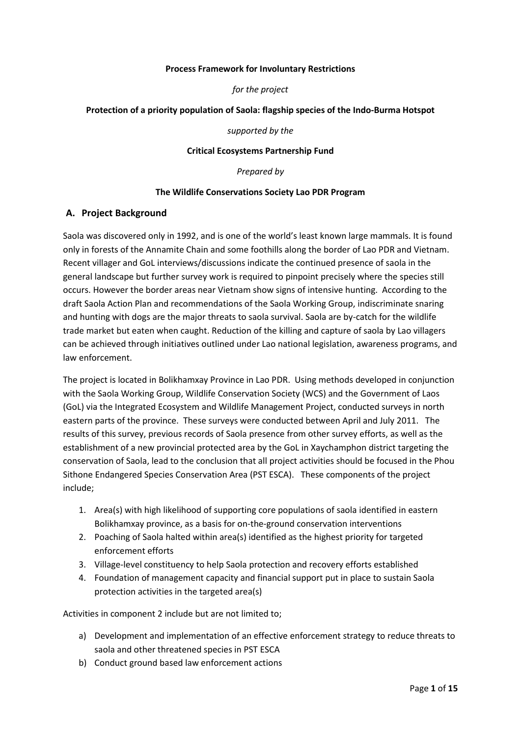#### **Process Framework for Involuntary Restrictions**

#### *for the project*

#### **Protection of a priority population of Saola: flagship species of the Indo-Burma Hotspot**

*supported by the*

#### **Critical Ecosystems Partnership Fund**

*Prepared by*

#### **The Wildlife Conservations Society Lao PDR Program**

#### **A. Project Background**

Saola was discovered only in 1992, and is one of the world's least known large mammals. It is found only in forests of the Annamite Chain and some foothills along the border of Lao PDR and Vietnam. Recent villager and GoL interviews/discussions indicate the continued presence of saola in the general landscape but further survey work is required to pinpoint precisely where the species still occurs. However the border areas near Vietnam show signs of intensive hunting. According to the draft Saola Action Plan and recommendations of the Saola Working Group, indiscriminate snaring and hunting with dogs are the major threats to saola survival. Saola are by-catch for the wildlife trade market but eaten when caught. Reduction of the killing and capture of saola by Lao villagers can be achieved through initiatives outlined under Lao national legislation, awareness programs, and law enforcement.

The project is located in Bolikhamxay Province in Lao PDR. Using methods developed in conjunction with the Saola Working Group, Wildlife Conservation Society (WCS) and the Government of Laos (GoL) via the Integrated Ecosystem and Wildlife Management Project, conducted surveys in north eastern parts of the province. These surveys were conducted between April and July 2011. The results of this survey, previous records of Saola presence from other survey efforts, as well as the establishment of a new provincial protected area by the GoL in Xaychamphon district targeting the conservation of Saola, lead to the conclusion that all project activities should be focused in the Phou Sithone Endangered Species Conservation Area (PST ESCA). These components of the project include;

- 1. Area(s) with high likelihood of supporting core populations of saola identified in eastern Bolikhamxay province, as a basis for on-the-ground conservation interventions
- 2. Poaching of Saola halted within area(s) identified as the highest priority for targeted enforcement efforts
- 3. Village-level constituency to help Saola protection and recovery efforts established
- 4. Foundation of management capacity and financial support put in place to sustain Saola protection activities in the targeted area(s)

Activities in component 2 include but are not limited to;

- a) Development and implementation of an effective enforcement strategy to reduce threats to saola and other threatened species in PST ESCA
- b) Conduct ground based law enforcement actions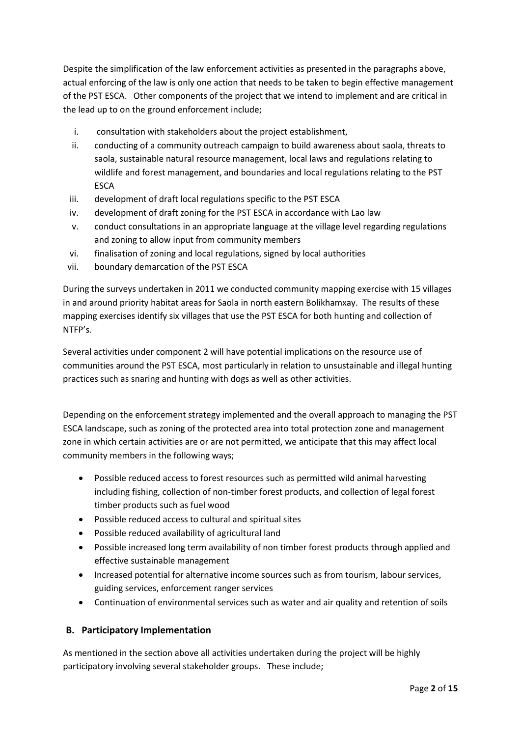Despite the simplification of the law enforcement activities as presented in the paragraphs above, actual enforcing of the law is only one action that needs to be taken to begin effective management of the PST ESCA. Other components of the project that we intend to implement and are critical in the lead up to on the ground enforcement include;

- i. consultation with stakeholders about the project establishment,
- ii. conducting of a community outreach campaign to build awareness about saola, threats to saola, sustainable natural resource management, local laws and regulations relating to wildlife and forest management, and boundaries and local regulations relating to the PST **ESCA**
- iii. development of draft local regulations specific to the PST ESCA
- iv. development of draft zoning for the PST ESCA in accordance with Lao law
- v. conduct consultations in an appropriate language at the village level regarding regulations and zoning to allow input from community members
- vi. finalisation of zoning and local regulations, signed by local authorities
- vii. boundary demarcation of the PST ESCA

During the surveys undertaken in 2011 we conducted community mapping exercise with 15 villages in and around priority habitat areas for Saola in north eastern Bolikhamxay. The results of these mapping exercises identify six villages that use the PST ESCA for both hunting and collection of NTFP's.

Several activities under component 2 will have potential implications on the resource use of communities around the PST ESCA, most particularly in relation to unsustainable and illegal hunting practices such as snaring and hunting with dogs as well as other activities.

Depending on the enforcement strategy implemented and the overall approach to managing the PST ESCA landscape, such as zoning of the protected area into total protection zone and management zone in which certain activities are or are not permitted, we anticipate that this may affect local community members in the following ways;

- Possible reduced access to forest resources such as permitted wild animal harvesting including fishing, collection of non-timber forest products, and collection of legal forest timber products such as fuel wood
- Possible reduced access to cultural and spiritual sites
- Possible reduced availability of agricultural land
- Possible increased long term availability of non timber forest products through applied and effective sustainable management
- Increased potential for alternative income sources such as from tourism, labour services, guiding services, enforcement ranger services
- Continuation of environmental services such as water and air quality and retention of soils

# **B. Participatory Implementation**

As mentioned in the section above all activities undertaken during the project will be highly participatory involving several stakeholder groups. These include;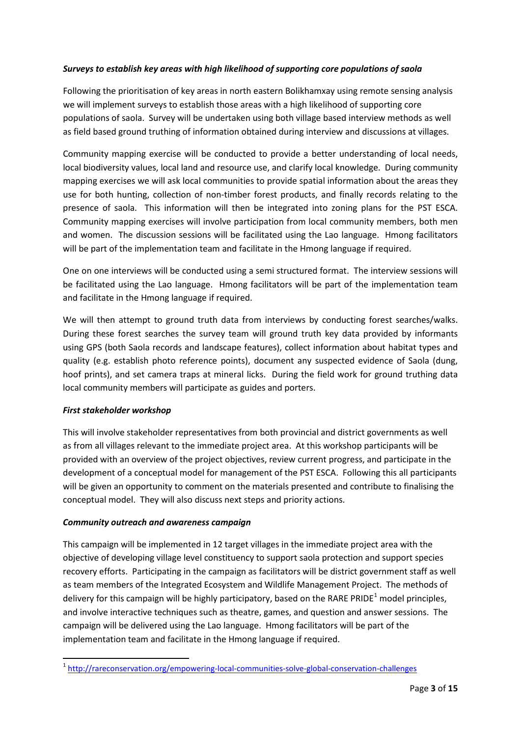## *Surveys to establish key areas with high likelihood of supporting core populations of saola*

Following the prioritisation of key areas in north eastern Bolikhamxay using remote sensing analysis we will implement surveys to establish those areas with a high likelihood of supporting core populations of saola. Survey will be undertaken using both village based interview methods as well as field based ground truthing of information obtained during interview and discussions at villages.

Community mapping exercise will be conducted to provide a better understanding of local needs, local biodiversity values, local land and resource use, and clarify local knowledge. During community mapping exercises we will ask local communities to provide spatial information about the areas they use for both hunting, collection of non-timber forest products, and finally records relating to the presence of saola. This information will then be integrated into zoning plans for the PST ESCA. Community mapping exercises will involve participation from local community members, both men and women. The discussion sessions will be facilitated using the Lao language. Hmong facilitators will be part of the implementation team and facilitate in the Hmong language if required.

One on one interviews will be conducted using a semi structured format. The interview sessions will be facilitated using the Lao language. Hmong facilitators will be part of the implementation team and facilitate in the Hmong language if required.

We will then attempt to ground truth data from interviews by conducting forest searches/walks. During these forest searches the survey team will ground truth key data provided by informants using GPS (both Saola records and landscape features), collect information about habitat types and quality (e.g. establish photo reference points), document any suspected evidence of Saola (dung, hoof prints), and set camera traps at mineral licks. During the field work for ground truthing data local community members will participate as guides and porters.

#### *First stakeholder workshop*

This will involve stakeholder representatives from both provincial and district governments as well as from all villages relevant to the immediate project area. At this workshop participants will be provided with an overview of the project objectives, review current progress, and participate in the development of a conceptual model for management of the PST ESCA. Following this all participants will be given an opportunity to comment on the materials presented and contribute to finalising the conceptual model. They will also discuss next steps and priority actions.

#### *Community outreach and awareness campaign*

This campaign will be implemented in 12 target villages in the immediate project area with the objective of developing village level constituency to support saola protection and support species recovery efforts. Participating in the campaign as facilitators will be district government staff as well as team members of the Integrated Ecosystem and Wildlife Management Project. The methods of delivery for this campaign will be highly participatory, based on the RARE PRIDE<sup>[1](#page-2-0)</sup> model principles, and involve interactive techniques such as theatre, games, and question and answer sessions. The campaign will be delivered using the Lao language. Hmong facilitators will be part of the implementation team and facilitate in the Hmong language if required.

<span id="page-2-0"></span> <sup>1</sup> <http://rareconservation.org/empowering-local-communities-solve-global-conservation-challenges>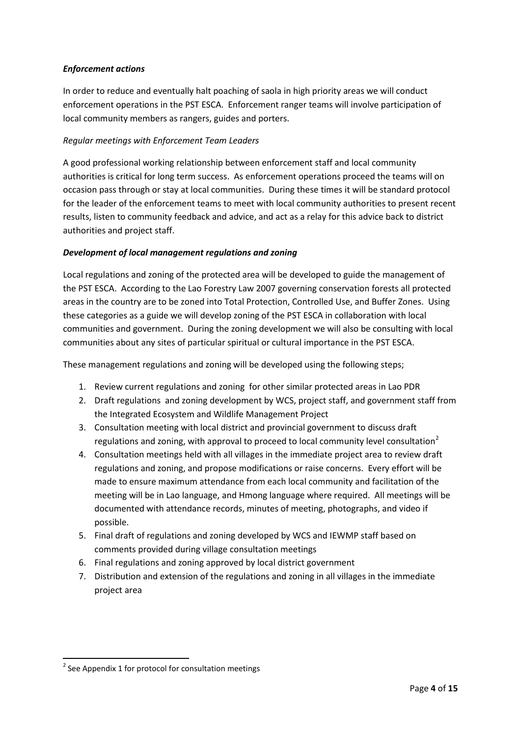## *Enforcement actions*

In order to reduce and eventually halt poaching of saola in high priority areas we will conduct enforcement operations in the PST ESCA. Enforcement ranger teams will involve participation of local community members as rangers, guides and porters.

#### *Regular meetings with Enforcement Team Leaders*

A good professional working relationship between enforcement staff and local community authorities is critical for long term success. As enforcement operations proceed the teams will on occasion pass through or stay at local communities. During these times it will be standard protocol for the leader of the enforcement teams to meet with local community authorities to present recent results, listen to community feedback and advice, and act as a relay for this advice back to district authorities and project staff.

#### *Development of local management regulations and zoning*

Local regulations and zoning of the protected area will be developed to guide the management of the PST ESCA. According to the Lao Forestry Law 2007 governing conservation forests all protected areas in the country are to be zoned into Total Protection, Controlled Use, and Buffer Zones. Using these categories as a guide we will develop zoning of the PST ESCA in collaboration with local communities and government. During the zoning development we will also be consulting with local communities about any sites of particular spiritual or cultural importance in the PST ESCA.

These management regulations and zoning will be developed using the following steps;

- 1. Review current regulations and zoning for other similar protected areas in Lao PDR
- 2. Draft regulations and zoning development by WCS, project staff, and government staff from the Integrated Ecosystem and Wildlife Management Project
- 3. Consultation meeting with local district and provincial government to discuss draft regulations and zoning, with approval to proceed to local community level consultation<sup>[2](#page-3-0)</sup>
- 4. Consultation meetings held with all villages in the immediate project area to review draft regulations and zoning, and propose modifications or raise concerns. Every effort will be made to ensure maximum attendance from each local community and facilitation of the meeting will be in Lao language, and Hmong language where required. All meetings will be documented with attendance records, minutes of meeting, photographs, and video if possible.
- 5. Final draft of regulations and zoning developed by WCS and IEWMP staff based on comments provided during village consultation meetings
- 6. Final regulations and zoning approved by local district government
- 7. Distribution and extension of the regulations and zoning in all villages in the immediate project area

<span id="page-3-0"></span> $2$  See Appendix 1 for protocol for consultation meetings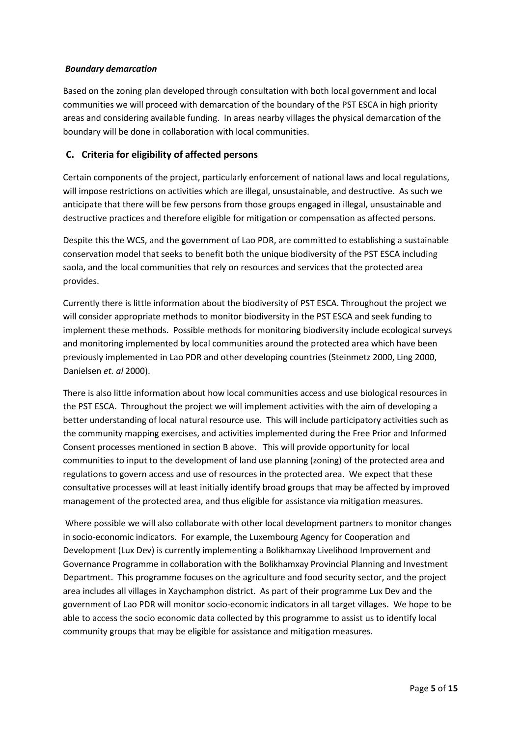### *Boundary demarcation*

Based on the zoning plan developed through consultation with both local government and local communities we will proceed with demarcation of the boundary of the PST ESCA in high priority areas and considering available funding. In areas nearby villages the physical demarcation of the boundary will be done in collaboration with local communities.

## **C. Criteria for eligibility of affected persons**

Certain components of the project, particularly enforcement of national laws and local regulations, will impose restrictions on activities which are illegal, unsustainable, and destructive. As such we anticipate that there will be few persons from those groups engaged in illegal, unsustainable and destructive practices and therefore eligible for mitigation or compensation as affected persons.

Despite this the WCS, and the government of Lao PDR, are committed to establishing a sustainable conservation model that seeks to benefit both the unique biodiversity of the PST ESCA including saola, and the local communities that rely on resources and services that the protected area provides.

Currently there is little information about the biodiversity of PST ESCA. Throughout the project we will consider appropriate methods to monitor biodiversity in the PST ESCA and seek funding to implement these methods. Possible methods for monitoring biodiversity include ecological surveys and monitoring implemented by local communities around the protected area which have been previously implemented in Lao PDR and other developing countries (Steinmetz 2000, Ling 2000, Danielsen *et. al* 2000).

There is also little information about how local communities access and use biological resources in the PST ESCA. Throughout the project we will implement activities with the aim of developing a better understanding of local natural resource use. This will include participatory activities such as the community mapping exercises, and activities implemented during the Free Prior and Informed Consent processes mentioned in section B above. This will provide opportunity for local communities to input to the development of land use planning (zoning) of the protected area and regulations to govern access and use of resources in the protected area. We expect that these consultative processes will at least initially identify broad groups that may be affected by improved management of the protected area, and thus eligible for assistance via mitigation measures.

Where possible we will also collaborate with other local development partners to monitor changes in socio-economic indicators. For example, the Luxembourg Agency for Cooperation and Development (Lux Dev) is currently implementing a Bolikhamxay Livelihood Improvement and Governance Programme in collaboration with the Bolikhamxay Provincial Planning and Investment Department. This programme focuses on the agriculture and food security sector, and the project area includes all villages in Xaychamphon district. As part of their programme Lux Dev and the government of Lao PDR will monitor socio-economic indicators in all target villages. We hope to be able to access the socio economic data collected by this programme to assist us to identify local community groups that may be eligible for assistance and mitigation measures.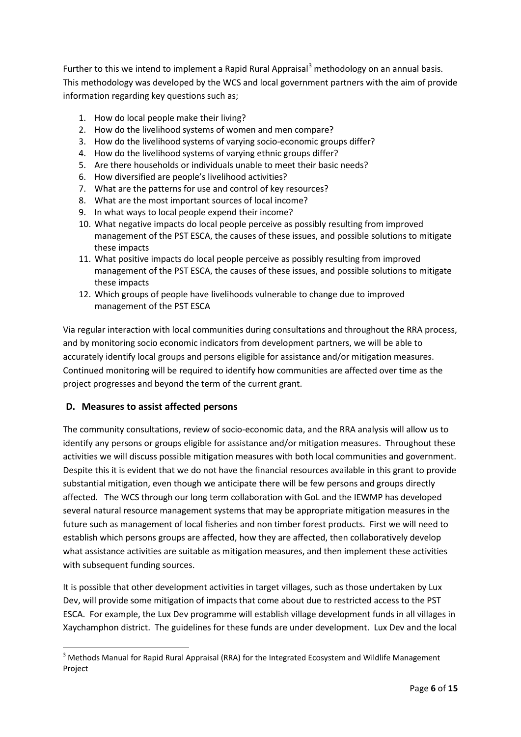Further to this we intend to implement a Rapid Rural Appraisal<sup>[3](#page-5-0)</sup> methodology on an annual basis. This methodology was developed by the WCS and local government partners with the aim of provide information regarding key questions such as;

- 1. How do local people make their living?
- 2. How do the livelihood systems of women and men compare?
- 3. How do the livelihood systems of varying socio-economic groups differ?
- 4. How do the livelihood systems of varying ethnic groups differ?
- 5. Are there households or individuals unable to meet their basic needs?
- 6. How diversified are people's livelihood activities?
- 7. What are the patterns for use and control of key resources?
- 8. What are the most important sources of local income?
- 9. In what ways to local people expend their income?
- 10. What negative impacts do local people perceive as possibly resulting from improved management of the PST ESCA, the causes of these issues, and possible solutions to mitigate these impacts
- 11. What positive impacts do local people perceive as possibly resulting from improved management of the PST ESCA, the causes of these issues, and possible solutions to mitigate these impacts
- 12. Which groups of people have livelihoods vulnerable to change due to improved management of the PST ESCA

Via regular interaction with local communities during consultations and throughout the RRA process, and by monitoring socio economic indicators from development partners, we will be able to accurately identify local groups and persons eligible for assistance and/or mitigation measures. Continued monitoring will be required to identify how communities are affected over time as the project progresses and beyond the term of the current grant.

# **D. Measures to assist affected persons**

The community consultations, review of socio-economic data, and the RRA analysis will allow us to identify any persons or groups eligible for assistance and/or mitigation measures. Throughout these activities we will discuss possible mitigation measures with both local communities and government. Despite this it is evident that we do not have the financial resources available in this grant to provide substantial mitigation, even though we anticipate there will be few persons and groups directly affected. The WCS through our long term collaboration with GoL and the IEWMP has developed several natural resource management systems that may be appropriate mitigation measures in the future such as management of local fisheries and non timber forest products. First we will need to establish which persons groups are affected, how they are affected, then collaboratively develop what assistance activities are suitable as mitigation measures, and then implement these activities with subsequent funding sources.

It is possible that other development activities in target villages, such as those undertaken by Lux Dev, will provide some mitigation of impacts that come about due to restricted access to the PST ESCA. For example, the Lux Dev programme will establish village development funds in all villages in Xaychamphon district. The guidelines for these funds are under development. Lux Dev and the local

<span id="page-5-0"></span> $3$  Methods Manual for Rapid Rural Appraisal (RRA) for the Integrated Ecosystem and Wildlife Management Project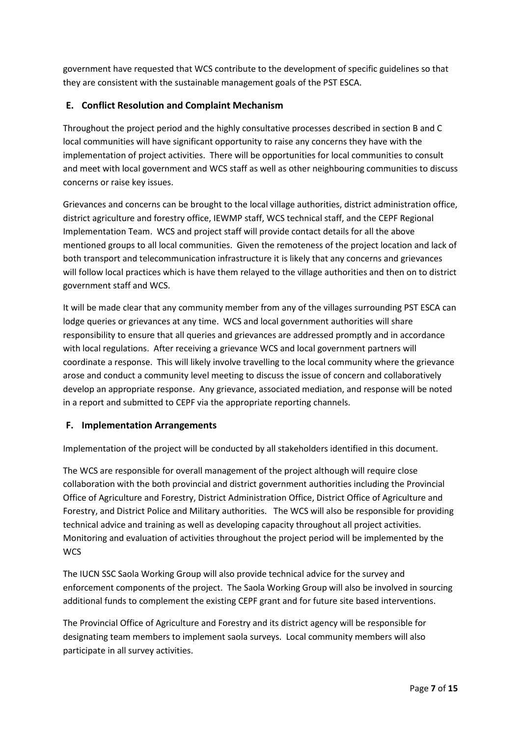government have requested that WCS contribute to the development of specific guidelines so that they are consistent with the sustainable management goals of the PST ESCA.

# **E. Conflict Resolution and Complaint Mechanism**

Throughout the project period and the highly consultative processes described in section B and C local communities will have significant opportunity to raise any concerns they have with the implementation of project activities. There will be opportunities for local communities to consult and meet with local government and WCS staff as well as other neighbouring communities to discuss concerns or raise key issues.

Grievances and concerns can be brought to the local village authorities, district administration office, district agriculture and forestry office, IEWMP staff, WCS technical staff, and the CEPF Regional Implementation Team. WCS and project staff will provide contact details for all the above mentioned groups to all local communities. Given the remoteness of the project location and lack of both transport and telecommunication infrastructure it is likely that any concerns and grievances will follow local practices which is have them relayed to the village authorities and then on to district government staff and WCS.

It will be made clear that any community member from any of the villages surrounding PST ESCA can lodge queries or grievances at any time. WCS and local government authorities will share responsibility to ensure that all queries and grievances are addressed promptly and in accordance with local regulations. After receiving a grievance WCS and local government partners will coordinate a response. This will likely involve travelling to the local community where the grievance arose and conduct a community level meeting to discuss the issue of concern and collaboratively develop an appropriate response. Any grievance, associated mediation, and response will be noted in a report and submitted to CEPF via the appropriate reporting channels.

# **F. Implementation Arrangements**

Implementation of the project will be conducted by all stakeholders identified in this document.

The WCS are responsible for overall management of the project although will require close collaboration with the both provincial and district government authorities including the Provincial Office of Agriculture and Forestry, District Administration Office, District Office of Agriculture and Forestry, and District Police and Military authorities. The WCS will also be responsible for providing technical advice and training as well as developing capacity throughout all project activities. Monitoring and evaluation of activities throughout the project period will be implemented by the **WCS** 

The IUCN SSC Saola Working Group will also provide technical advice for the survey and enforcement components of the project. The Saola Working Group will also be involved in sourcing additional funds to complement the existing CEPF grant and for future site based interventions.

The Provincial Office of Agriculture and Forestry and its district agency will be responsible for designating team members to implement saola surveys. Local community members will also participate in all survey activities.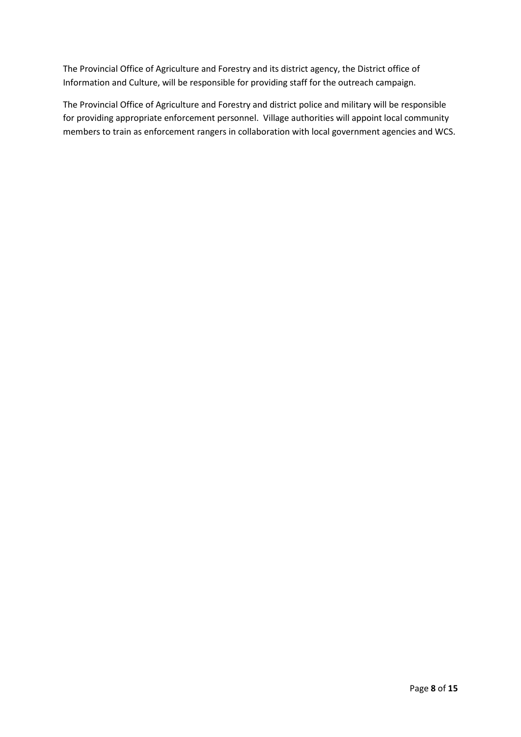The Provincial Office of Agriculture and Forestry and its district agency, the District office of Information and Culture, will be responsible for providing staff for the outreach campaign.

The Provincial Office of Agriculture and Forestry and district police and military will be responsible for providing appropriate enforcement personnel. Village authorities will appoint local community members to train as enforcement rangers in collaboration with local government agencies and WCS.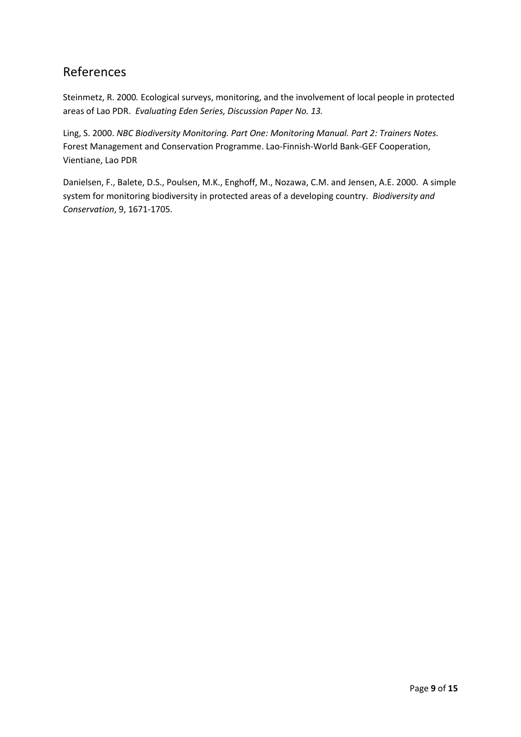# References

Steinmetz, R. 2000*.* Ecological surveys, monitoring, and the involvement of local people in protected areas of Lao PDR. *Evaluating Eden Series, Discussion Paper No. 13.*

Ling, S. 2000. *NBC Biodiversity Monitoring. Part One: Monitoring Manual. Part 2: Trainers Notes.* Forest Management and Conservation Programme. Lao-Finnish-World Bank-GEF Cooperation, Vientiane, Lao PDR

Danielsen, F., Balete, D.S., Poulsen, M.K., Enghoff, M., Nozawa, C.M. and Jensen, A.E. 2000. A simple system for monitoring biodiversity in protected areas of a developing country. *Biodiversity and Conservation*, 9, 1671-1705.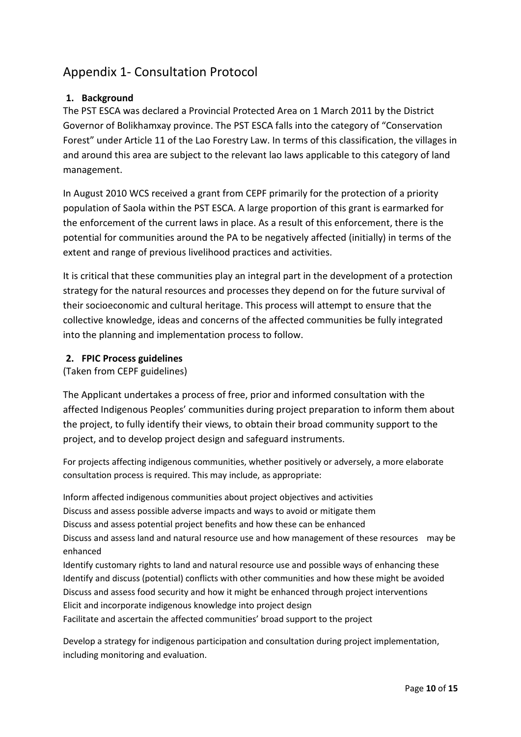# Appendix 1- Consultation Protocol

# **1. Background**

The PST ESCA was declared a Provincial Protected Area on 1 March 2011 by the District Governor of Bolikhamxay province. The PST ESCA falls into the category of "Conservation Forest" under Article 11 of the Lao Forestry Law. In terms of this classification, the villages in and around this area are subject to the relevant lao laws applicable to this category of land management.

In August 2010 WCS received a grant from CEPF primarily for the protection of a priority population of Saola within the PST ESCA. A large proportion of this grant is earmarked for the enforcement of the current laws in place. As a result of this enforcement, there is the potential for communities around the PA to be negatively affected (initially) in terms of the extent and range of previous livelihood practices and activities.

It is critical that these communities play an integral part in the development of a protection strategy for the natural resources and processes they depend on for the future survival of their socioeconomic and cultural heritage. This process will attempt to ensure that the collective knowledge, ideas and concerns of the affected communities be fully integrated into the planning and implementation process to follow.

## **2. FPIC Process guidelines**

(Taken from CEPF guidelines)

The Applicant undertakes a process of free, prior and informed consultation with the affected Indigenous Peoples' communities during project preparation to inform them about the project, to fully identify their views, to obtain their broad community support to the project, and to develop project design and safeguard instruments.

For projects affecting indigenous communities, whether positively or adversely, a more elaborate consultation process is required. This may include, as appropriate:

Inform affected indigenous communities about project objectives and activities Discuss and assess possible adverse impacts and ways to avoid or mitigate them Discuss and assess potential project benefits and how these can be enhanced Discuss and assess land and natural resource use and how management of these resources may be enhanced

Identify customary rights to land and natural resource use and possible ways of enhancing these Identify and discuss (potential) conflicts with other communities and how these might be avoided Discuss and assess food security and how it might be enhanced through project interventions Elicit and incorporate indigenous knowledge into project design Facilitate and ascertain the affected communities' broad support to the project

Develop a strategy for indigenous participation and consultation during project implementation, including monitoring and evaluation.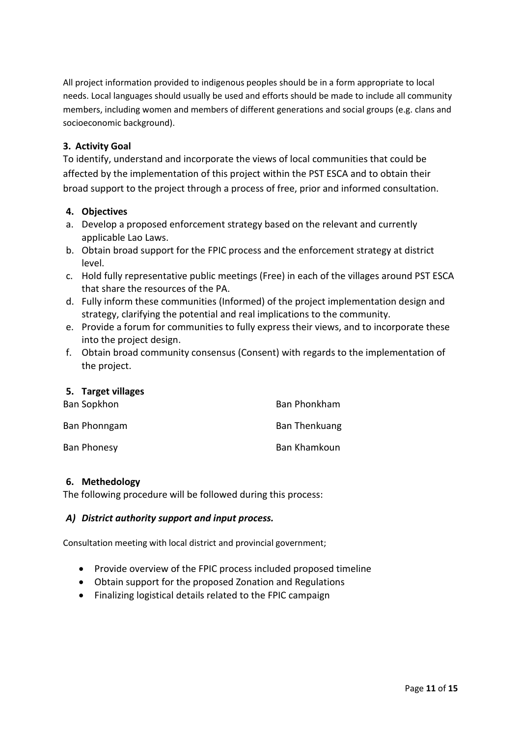All project information provided to indigenous peoples should be in a form appropriate to local needs. Local languages should usually be used and efforts should be made to include all community members, including women and members of different generations and social groups (e.g. clans and socioeconomic background).

# **3. Activity Goal**

To identify, understand and incorporate the views of local communities that could be affected by the implementation of this project within the PST ESCA and to obtain their broad support to the project through a process of free, prior and informed consultation.

## **4. Objectives**

- a. Develop a proposed enforcement strategy based on the relevant and currently applicable Lao Laws.
- b. Obtain broad support for the FPIC process and the enforcement strategy at district level.
- c. Hold fully representative public meetings (Free) in each of the villages around PST ESCA that share the resources of the PA.
- d. Fully inform these communities (Informed) of the project implementation design and strategy, clarifying the potential and real implications to the community.
- e. Provide a forum for communities to fully express their views, and to incorporate these into the project design.
- f. Obtain broad community consensus (Consent) with regards to the implementation of the project.

## **5. Target villages**

| Ban Sopkhon  | Ban Phonkham  |
|--------------|---------------|
| Ban Phonngam | Ban Thenkuang |
| Ban Phonesy  | Ban Khamkoun  |

## **6. Methedology**

The following procedure will be followed during this process:

## *A) District authority support and input process.*

Consultation meeting with local district and provincial government;

- Provide overview of the FPIC process included proposed timeline
- Obtain support for the proposed Zonation and Regulations
- Finalizing logistical details related to the FPIC campaign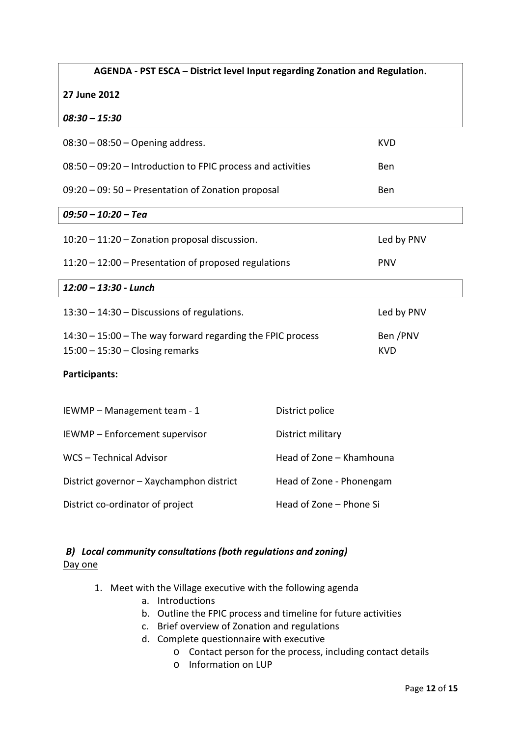| AGENDA - PST ESCA - District level Input regarding Zonation and Regulation. |                          |            |
|-----------------------------------------------------------------------------|--------------------------|------------|
| 27 June 2012                                                                |                          |            |
| $08:30 - 15:30$                                                             |                          |            |
| $08:30 - 08:50 -$ Opening address.                                          |                          | <b>KVD</b> |
| 08:50 - 09:20 - Introduction to FPIC process and activities                 |                          | Ben        |
| 09:20 - 09: 50 - Presentation of Zonation proposal                          |                          | Ben        |
| $09:50 - 10:20 - Tea$                                                       |                          |            |
| 10:20 - 11:20 - Zonation proposal discussion.                               |                          | Led by PNV |
| 11:20 - 12:00 - Presentation of proposed regulations                        |                          | <b>PNV</b> |
| 12:00 - 13:30 - Lunch                                                       |                          |            |
| 13:30 - 14:30 - Discussions of regulations.                                 |                          | Led by PNV |
| 14:30 - 15:00 - The way forward regarding the FPIC process                  |                          | Ben /PNV   |
| $15:00 - 15:30 - Closing remarks$                                           |                          | <b>KVD</b> |
| Participants:                                                               |                          |            |
| IEWMP - Management team - 1                                                 | District police          |            |
| IEWMP - Enforcement supervisor                                              | District military        |            |
| WCS - Technical Advisor                                                     | Head of Zone - Khamhouna |            |
| District governor - Xaychamphon district<br>Head of Zone - Phonengam        |                          |            |
| Head of Zone - Phone Si<br>District co-ordinator of project                 |                          |            |

# *B) Local community consultations (both regulations and zoning)* Day one

- 1. Meet with the Village executive with the following agenda
	- a. Introductions
	- b. Outline the FPIC process and timeline for future activities
	- c. Brief overview of Zonation and regulations
	- d. Complete questionnaire with executive
		- o Contact person for the process, including contact details
		- o Information on LUP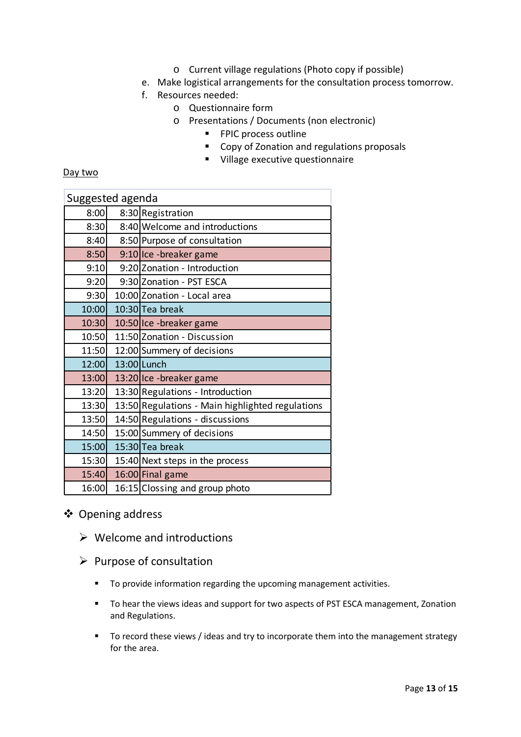- o Current village regulations (Photo copy if possible)
- e. Make logistical arrangements for the consultation process tomorrow.
- f. Resources needed:
	- o Questionnaire form
	- o Presentations / Documents (non electronic)
		- **FPIC process outline**
		- Copy of Zonation and regulations proposals
		- **Village executive questionnaire**

## Day two

| Suggested agenda |  |                                                  |
|------------------|--|--------------------------------------------------|
| 8:00             |  | 8:30 Registration                                |
| 8:30             |  | 8:40 Welcome and introductions                   |
| 8:40             |  | 8:50 Purpose of consultation                     |
| 8:50             |  | 9:10 Ice - breaker game                          |
| 9:10             |  | 9:20 Zonation - Introduction                     |
| 9:20             |  | 9:30 Zonation - PST ESCA                         |
| 9:30             |  | 10:00 Zonation - Local area                      |
| 10:00            |  | $10:30$ Tea break                                |
| 10:30            |  | 10:50 Ice - breaker game                         |
| 10:50            |  | 11:50 Zonation - Discussion                      |
| 11:50            |  | 12:00 Summery of decisions                       |
| 12:00            |  | 13:00 Lunch                                      |
| 13:00            |  | 13:20 Ice - breaker game                         |
| 13:20            |  | 13:30 Regulations - Introduction                 |
| 13:30            |  | 13:50 Regulations - Main highlighted regulations |
| 13:50            |  | 14:50 Regulations - discussions                  |
| 14:50            |  | 15:00 Summery of decisions                       |
| 15:00            |  | 15:30 Tea break                                  |
| 15:30            |  | 15:40 Next steps in the process                  |
| 15:40            |  | 16:00 Final game                                 |
| 16:00            |  | 16:15 Clossing and group photo                   |

# Opening address

- $\triangleright$  Welcome and introductions
- $\triangleright$  Purpose of consultation
	- To provide information regarding the upcoming management activities.
	- **THEFT** To hear the views ideas and support for two aspects of PST ESCA management, Zonation and Regulations.
	- To record these views / ideas and try to incorporate them into the management strategy for the area.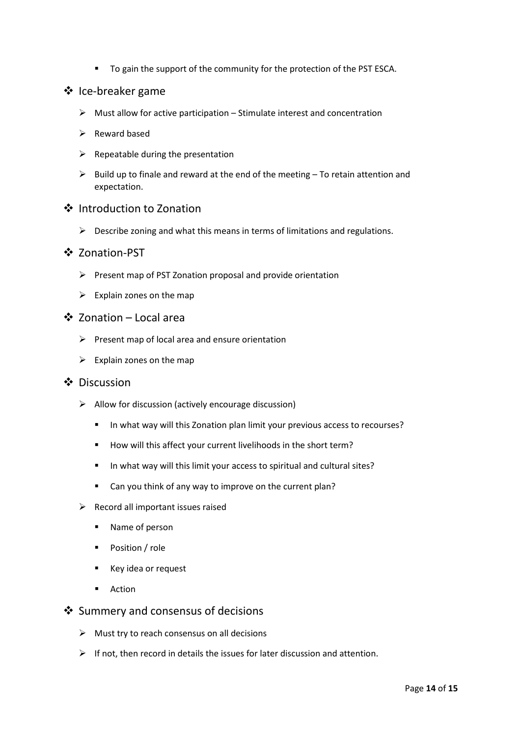To gain the support of the community for the protection of the PST ESCA.

## ❖ Ice-breaker game

- $\triangleright$  Must allow for active participation Stimulate interest and concentration
- $\triangleright$  Reward based
- $\triangleright$  Repeatable during the presentation
- $\triangleright$  Build up to finale and reward at the end of the meeting To retain attention and expectation.

## ❖ Introduction to Zonation

 $\triangleright$  Describe zoning and what this means in terms of limitations and regulations.

#### ❖ Zonation-PST

- $\triangleright$  Present map of PST Zonation proposal and provide orientation
- $\triangleright$  Explain zones on the map

#### Zonation – Local area

- $\triangleright$  Present map of local area and ensure orientation
- $\triangleright$  Explain zones on the map

# ❖ Discussion

- $\triangleright$  Allow for discussion (actively encourage discussion)
	- In what way will this Zonation plan limit your previous access to recourses?
	- How will this affect your current livelihoods in the short term?
	- In what way will this limit your access to spiritual and cultural sites?
	- Can you think of any way to improve on the current plan?
- $\triangleright$  Record all important issues raised
	- Name of person
	- **Position / role**
	- Key idea or request
	- **Action**

## ❖ Summery and consensus of decisions

- $\triangleright$  Must try to reach consensus on all decisions
- $\triangleright$  If not, then record in details the issues for later discussion and attention.